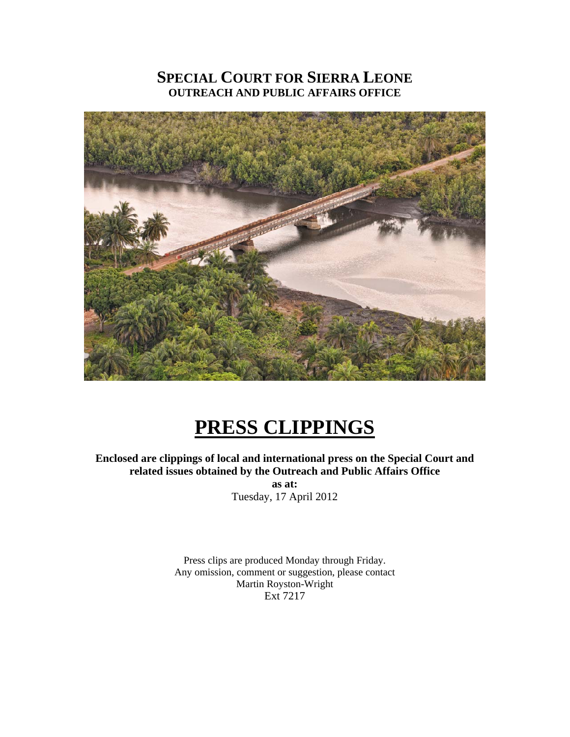# **SPECIAL COURT FOR SIERRA LEONE OUTREACH AND PUBLIC AFFAIRS OFFICE**



# **PRESS CLIPPINGS**

**Enclosed are clippings of local and international press on the Special Court and related issues obtained by the Outreach and Public Affairs Office** 

> **as at:**  Tuesday, 17 April 2012

Press clips are produced Monday through Friday. Any omission, comment or suggestion, please contact Martin Royston-Wright Ext 7217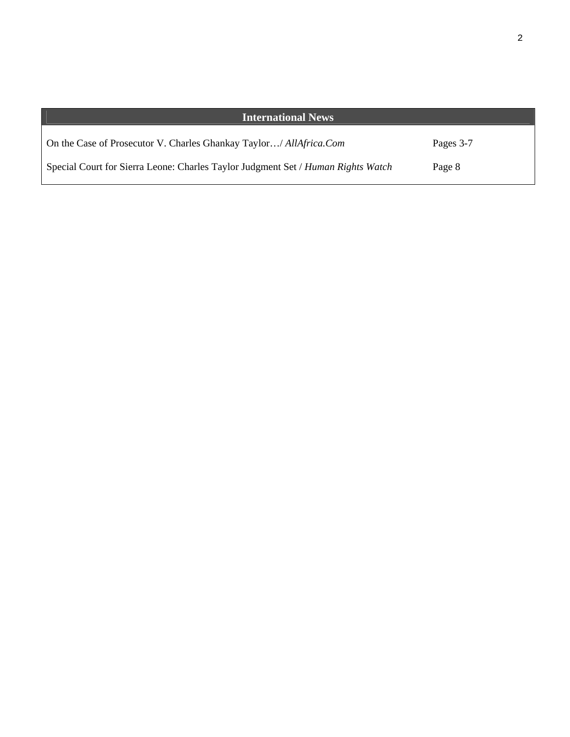| <b>International News</b>                                                        |           |
|----------------------------------------------------------------------------------|-----------|
| On the Case of Prosecutor V. Charles Ghankay Taylor/ AllAfrica.Com               | Pages 3-7 |
| Special Court for Sierra Leone: Charles Taylor Judgment Set / Human Rights Watch | Page 8    |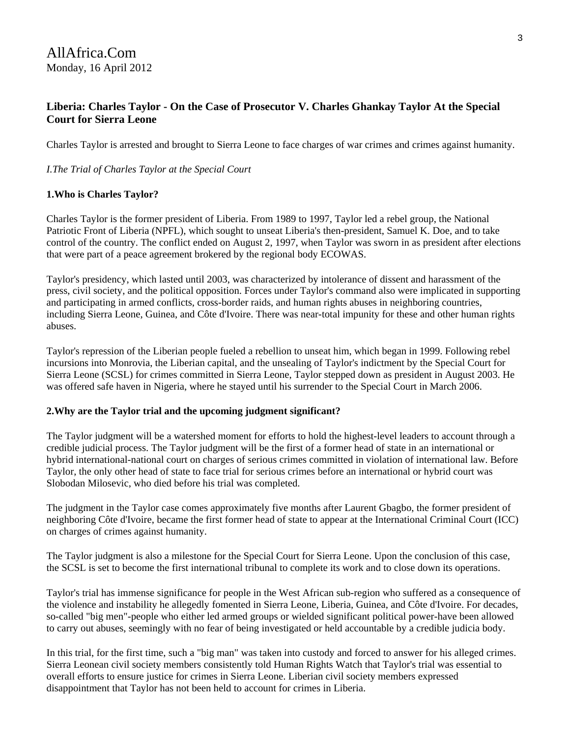# **Liberia: Charles Taylor - On the Case of Prosecutor V. Charles Ghankay Taylor At the Special Court for Sierra Leone**

Charles Taylor is arrested and brought to Sierra Leone to face charges of war crimes and crimes against humanity.

# *I.The Trial of Charles Taylor at the Special Court*

# **1.Who is Charles Taylor?**

Charles Taylor is the former president of Liberia. From 1989 to 1997, Taylor led a rebel group, the National Patriotic Front of Liberia (NPFL), which sought to unseat Liberia's then-president, Samuel K. Doe, and to take control of the country. The conflict ended on August 2, 1997, when Taylor was sworn in as president after elections that were part of a peace agreement brokered by the regional body ECOWAS.

Taylor's presidency, which lasted until 2003, was characterized by intolerance of dissent and harassment of the press, civil society, and the political opposition. Forces under Taylor's command also were implicated in supporting and participating in armed conflicts, cross-border raids, and human rights abuses in neighboring countries, including Sierra Leone, Guinea, and Côte d'Ivoire. There was near-total impunity for these and other human rights abuses.

Taylor's repression of the Liberian people fueled a rebellion to unseat him, which began in 1999. Following rebel incursions into Monrovia, the Liberian capital, and the unsealing of Taylor's indictment by the Special Court for Sierra Leone (SCSL) for crimes committed in Sierra Leone, Taylor stepped down as president in August 2003. He was offered safe haven in Nigeria, where he stayed until his surrender to the Special Court in March 2006.

# **2.Why are the Taylor trial and the upcoming judgment significant?**

The Taylor judgment will be a watershed moment for efforts to hold the highest-level leaders to account through a credible judicial process. The Taylor judgment will be the first of a former head of state in an international or hybrid international-national court on charges of serious crimes committed in violation of international law. Before Taylor, the only other head of state to face trial for serious crimes before an international or hybrid court was Slobodan Milosevic, who died before his trial was completed.

The judgment in the Taylor case comes approximately five months after Laurent Gbagbo, the former president of neighboring Côte d'Ivoire, became the first former head of state to appear at the International Criminal Court (ICC) on charges of crimes against humanity.

The Taylor judgment is also a milestone for the Special Court for Sierra Leone. Upon the conclusion of this case, the SCSL is set to become the first international tribunal to complete its work and to close down its operations.

Taylor's trial has immense significance for people in the West African sub-region who suffered as a consequence of the violence and instability he allegedly fomented in Sierra Leone, Liberia, Guinea, and Côte d'Ivoire. For decades, so-called "big men"-people who either led armed groups or wielded significant political power-have been allowed to carry out abuses, seemingly with no fear of being investigated or held accountable by a credible judicia body.

In this trial, for the first time, such a "big man" was taken into custody and forced to answer for his alleged crimes. Sierra Leonean civil society members consistently told Human Rights Watch that Taylor's trial was essential to overall efforts to ensure justice for crimes in Sierra Leone. Liberian civil society members expressed disappointment that Taylor has not been held to account for crimes in Liberia.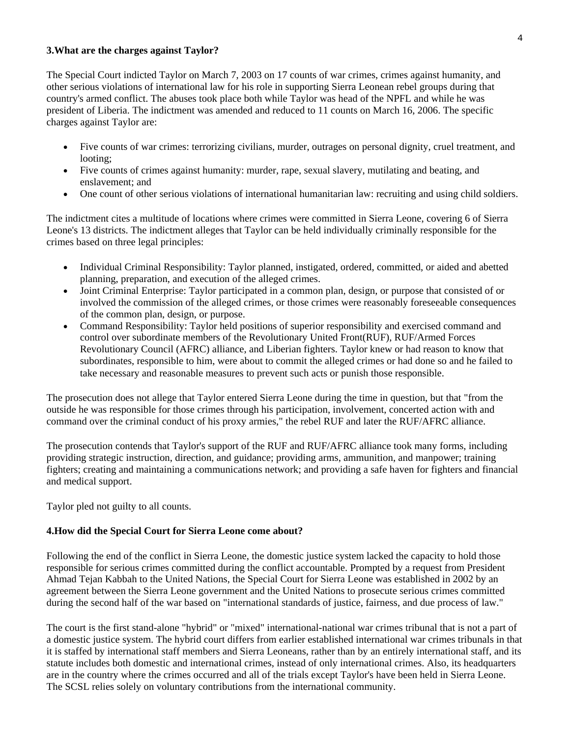#### **3.What are the charges against Taylor?**

The Special Court indicted Taylor on March 7, 2003 on 17 counts of war crimes, crimes against humanity, and other serious violations of international law for his role in supporting Sierra Leonean rebel groups during that country's armed conflict. The abuses took place both while Taylor was head of the NPFL and while he was president of Liberia. The indictment was amended and reduced to 11 counts on March 16, 2006. The specific charges against Taylor are:

- Five counts of war crimes: terrorizing civilians, murder, outrages on personal dignity, cruel treatment, and looting;
- Five counts of crimes against humanity: murder, rape, sexual slavery, mutilating and beating, and enslavement; and
- One count of other serious violations of international humanitarian law: recruiting and using child soldiers.

The indictment cites a multitude of locations where crimes were committed in Sierra Leone, covering 6 of Sierra Leone's 13 districts. The indictment alleges that Taylor can be held individually criminally responsible for the crimes based on three legal principles:

- Individual Criminal Responsibility: Taylor planned, instigated, ordered, committed, or aided and abetted planning, preparation, and execution of the alleged crimes.
- Joint Criminal Enterprise: Taylor participated in a common plan, design, or purpose that consisted of or involved the commission of the alleged crimes, or those crimes were reasonably foreseeable consequences of the common plan, design, or purpose.
- Command Responsibility: Taylor held positions of superior responsibility and exercised command and control over subordinate members of the Revolutionary United Front(RUF), RUF/Armed Forces Revolutionary Council (AFRC) alliance, and Liberian fighters. Taylor knew or had reason to know that subordinates, responsible to him, were about to commit the alleged crimes or had done so and he failed to take necessary and reasonable measures to prevent such acts or punish those responsible.

The prosecution does not allege that Taylor entered Sierra Leone during the time in question, but that "from the outside he was responsible for those crimes through his participation, involvement, concerted action with and command over the criminal conduct of his proxy armies," the rebel RUF and later the RUF/AFRC alliance.

The prosecution contends that Taylor's support of the RUF and RUF/AFRC alliance took many forms, including providing strategic instruction, direction, and guidance; providing arms, ammunition, and manpower; training fighters; creating and maintaining a communications network; and providing a safe haven for fighters and financial and medical support.

Taylor pled not guilty to all counts.

# **4.How did the Special Court for Sierra Leone come about?**

Following the end of the conflict in Sierra Leone, the domestic justice system lacked the capacity to hold those responsible for serious crimes committed during the conflict accountable. Prompted by a request from President Ahmad Tejan Kabbah to the United Nations, the Special Court for Sierra Leone was established in 2002 by an agreement between the Sierra Leone government and the United Nations to prosecute serious crimes committed during the second half of the war based on "international standards of justice, fairness, and due process of law."

The court is the first stand-alone "hybrid" or "mixed" international-national war crimes tribunal that is not a part of a domestic justice system. The hybrid court differs from earlier established international war crimes tribunals in that it is staffed by international staff members and Sierra Leoneans, rather than by an entirely international staff, and its statute includes both domestic and international crimes, instead of only international crimes. Also, its headquarters are in the country where the crimes occurred and all of the trials except Taylor's have been held in Sierra Leone. The SCSL relies solely on voluntary contributions from the international community.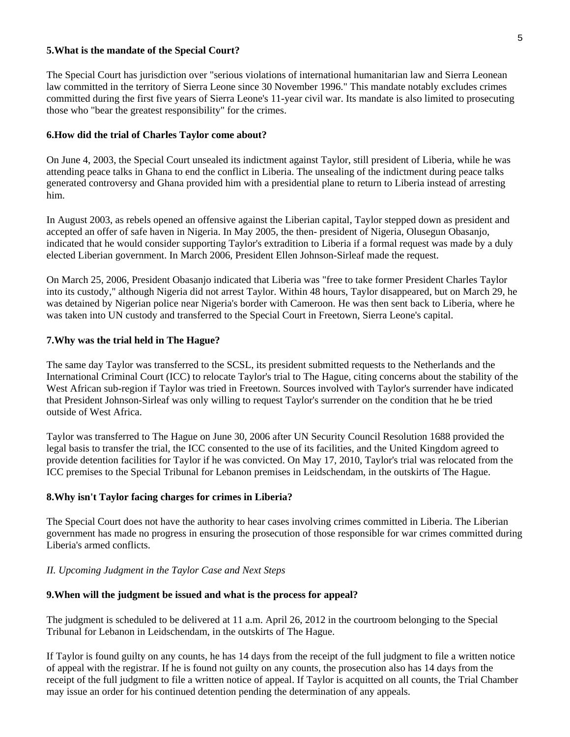#### **5.What is the mandate of the Special Court?**

The Special Court has jurisdiction over "serious violations of international humanitarian law and Sierra Leonean law committed in the territory of Sierra Leone since 30 November 1996." This mandate notably excludes crimes committed during the first five years of Sierra Leone's 11-year civil war. Its mandate is also limited to prosecuting those who "bear the greatest responsibility" for the crimes.

#### **6.How did the trial of Charles Taylor come about?**

On June 4, 2003, the Special Court unsealed its indictment against Taylor, still president of Liberia, while he was attending peace talks in Ghana to end the conflict in Liberia. The unsealing of the indictment during peace talks generated controversy and Ghana provided him with a presidential plane to return to Liberia instead of arresting him.

In August 2003, as rebels opened an offensive against the Liberian capital, Taylor stepped down as president and accepted an offer of safe haven in Nigeria. In May 2005, the then- president of Nigeria, Olusegun Obasanjo, indicated that he would consider supporting Taylor's extradition to Liberia if a formal request was made by a duly elected Liberian government. In March 2006, President Ellen Johnson-Sirleaf made the request.

On March 25, 2006, President Obasanjo indicated that Liberia was "free to take former President Charles Taylor into its custody," although Nigeria did not arrest Taylor. Within 48 hours, Taylor disappeared, but on March 29, he was detained by Nigerian police near Nigeria's border with Cameroon. He was then sent back to Liberia, where he was taken into UN custody and transferred to the Special Court in Freetown, Sierra Leone's capital.

#### **7.Why was the trial held in The Hague?**

The same day Taylor was transferred to the SCSL, its president submitted requests to the Netherlands and the International Criminal Court (ICC) to relocate Taylor's trial to The Hague, citing concerns about the stability of the West African sub-region if Taylor was tried in Freetown. Sources involved with Taylor's surrender have indicated that President Johnson-Sirleaf was only willing to request Taylor's surrender on the condition that he be tried outside of West Africa.

Taylor was transferred to The Hague on June 30, 2006 after UN Security Council Resolution 1688 provided the legal basis to transfer the trial, the ICC consented to the use of its facilities, and the United Kingdom agreed to provide detention facilities for Taylor if he was convicted. On May 17, 2010, Taylor's trial was relocated from the ICC premises to the Special Tribunal for Lebanon premises in Leidschendam, in the outskirts of The Hague.

### **8.Why isn't Taylor facing charges for crimes in Liberia?**

The Special Court does not have the authority to hear cases involving crimes committed in Liberia. The Liberian government has made no progress in ensuring the prosecution of those responsible for war crimes committed during Liberia's armed conflicts.

#### *II. Upcoming Judgment in the Taylor Case and Next Steps*

#### **9.When will the judgment be issued and what is the process for appeal?**

The judgment is scheduled to be delivered at 11 a.m. April 26, 2012 in the courtroom belonging to the Special Tribunal for Lebanon in Leidschendam, in the outskirts of The Hague.

If Taylor is found guilty on any counts, he has 14 days from the receipt of the full judgment to file a written notice of appeal with the registrar. If he is found not guilty on any counts, the prosecution also has 14 days from the receipt of the full judgment to file a written notice of appeal. If Taylor is acquitted on all counts, the Trial Chamber may issue an order for his continued detention pending the determination of any appeals.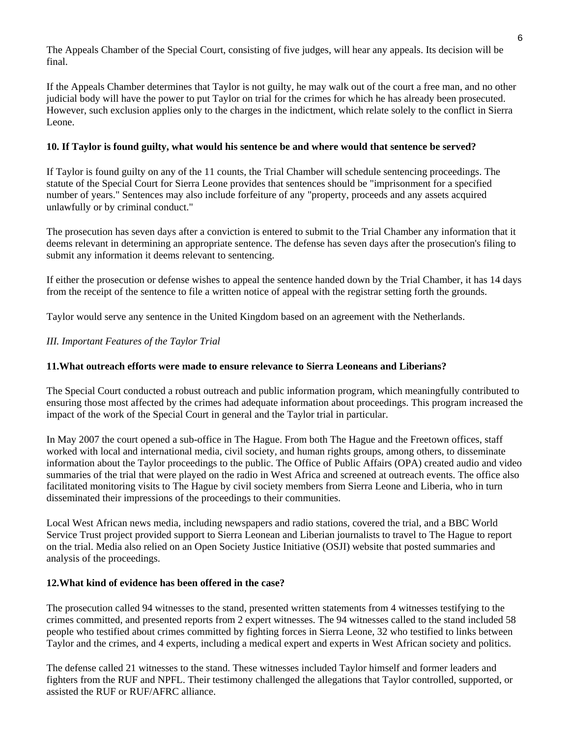The Appeals Chamber of the Special Court, consisting of five judges, will hear any appeals. Its decision will be final.

If the Appeals Chamber determines that Taylor is not guilty, he may walk out of the court a free man, and no other judicial body will have the power to put Taylor on trial for the crimes for which he has already been prosecuted. However, such exclusion applies only to the charges in the indictment, which relate solely to the conflict in Sierra Leone.

# **10. If Taylor is found guilty, what would his sentence be and where would that sentence be served?**

If Taylor is found guilty on any of the 11 counts, the Trial Chamber will schedule sentencing proceedings. The statute of the Special Court for Sierra Leone provides that sentences should be "imprisonment for a specified number of years." Sentences may also include forfeiture of any "property, proceeds and any assets acquired unlawfully or by criminal conduct."

The prosecution has seven days after a conviction is entered to submit to the Trial Chamber any information that it deems relevant in determining an appropriate sentence. The defense has seven days after the prosecution's filing to submit any information it deems relevant to sentencing.

If either the prosecution or defense wishes to appeal the sentence handed down by the Trial Chamber, it has 14 days from the receipt of the sentence to file a written notice of appeal with the registrar setting forth the grounds.

Taylor would serve any sentence in the United Kingdom based on an agreement with the Netherlands.

# *III. Important Features of the Taylor Trial*

# **11.What outreach efforts were made to ensure relevance to Sierra Leoneans and Liberians?**

The Special Court conducted a robust outreach and public information program, which meaningfully contributed to ensuring those most affected by the crimes had adequate information about proceedings. This program increased the impact of the work of the Special Court in general and the Taylor trial in particular.

In May 2007 the court opened a sub-office in The Hague. From both The Hague and the Freetown offices, staff worked with local and international media, civil society, and human rights groups, among others, to disseminate information about the Taylor proceedings to the public. The Office of Public Affairs (OPA) created audio and video summaries of the trial that were played on the radio in West Africa and screened at outreach events. The office also facilitated monitoring visits to The Hague by civil society members from Sierra Leone and Liberia, who in turn disseminated their impressions of the proceedings to their communities.

Local West African news media, including newspapers and radio stations, covered the trial, and a BBC World Service Trust project provided support to Sierra Leonean and Liberian journalists to travel to The Hague to report on the trial. Media also relied on an Open Society Justice Initiative (OSJI) website that posted summaries and analysis of the proceedings.

# **12.What kind of evidence has been offered in the case?**

The prosecution called 94 witnesses to the stand, presented written statements from 4 witnesses testifying to the crimes committed, and presented reports from 2 expert witnesses. The 94 witnesses called to the stand included 58 people who testified about crimes committed by fighting forces in Sierra Leone, 32 who testified to links between Taylor and the crimes, and 4 experts, including a medical expert and experts in West African society and politics.

The defense called 21 witnesses to the stand. These witnesses included Taylor himself and former leaders and fighters from the RUF and NPFL. Their testimony challenged the allegations that Taylor controlled, supported, or assisted the RUF or RUF/AFRC alliance.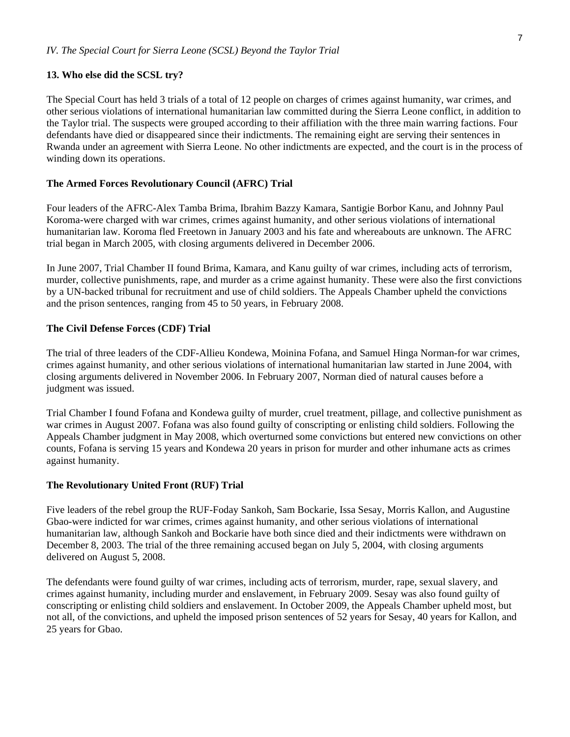#### **13. Who else did the SCSL try?**

The Special Court has held 3 trials of a total of 12 people on charges of crimes against humanity, war crimes, and other serious violations of international humanitarian law committed during the Sierra Leone conflict, in addition to the Taylor trial. The suspects were grouped according to their affiliation with the three main warring factions. Four defendants have died or disappeared since their indictments. The remaining eight are serving their sentences in Rwanda under an agreement with Sierra Leone. No other indictments are expected, and the court is in the process of winding down its operations.

#### **The Armed Forces Revolutionary Council (AFRC) Trial**

Four leaders of the AFRC-Alex Tamba Brima, Ibrahim Bazzy Kamara, Santigie Borbor Kanu, and Johnny Paul Koroma-were charged with war crimes, crimes against humanity, and other serious violations of international humanitarian law. Koroma fled Freetown in January 2003 and his fate and whereabouts are unknown. The AFRC trial began in March 2005, with closing arguments delivered in December 2006.

In June 2007, Trial Chamber II found Brima, Kamara, and Kanu guilty of war crimes, including acts of terrorism, murder, collective punishments, rape, and murder as a crime against humanity. These were also the first convictions by a UN-backed tribunal for recruitment and use of child soldiers. The Appeals Chamber upheld the convictions and the prison sentences, ranging from 45 to 50 years, in February 2008.

#### **The Civil Defense Forces (CDF) Trial**

The trial of three leaders of the CDF-Allieu Kondewa, Moinina Fofana, and Samuel Hinga Norman-for war crimes, crimes against humanity, and other serious violations of international humanitarian law started in June 2004, with closing arguments delivered in November 2006. In February 2007, Norman died of natural causes before a judgment was issued.

Trial Chamber I found Fofana and Kondewa guilty of murder, cruel treatment, pillage, and collective punishment as war crimes in August 2007. Fofana was also found guilty of conscripting or enlisting child soldiers. Following the Appeals Chamber judgment in May 2008, which overturned some convictions but entered new convictions on other counts, Fofana is serving 15 years and Kondewa 20 years in prison for murder and other inhumane acts as crimes against humanity.

#### **The Revolutionary United Front (RUF) Trial**

Five leaders of the rebel group the RUF-Foday Sankoh, Sam Bockarie, Issa Sesay, Morris Kallon, and Augustine Gbao-were indicted for war crimes, crimes against humanity, and other serious violations of international humanitarian law, although Sankoh and Bockarie have both since died and their indictments were withdrawn on December 8, 2003. The trial of the three remaining accused began on July 5, 2004, with closing arguments delivered on August 5, 2008.

The defendants were found guilty of war crimes, including acts of terrorism, murder, rape, sexual slavery, and crimes against humanity, including murder and enslavement, in February 2009. Sesay was also found guilty of conscripting or enlisting child soldiers and enslavement. In October 2009, the Appeals Chamber upheld most, but not all, of the convictions, and upheld the imposed prison sentences of 52 years for Sesay, 40 years for Kallon, and 25 years for Gbao.